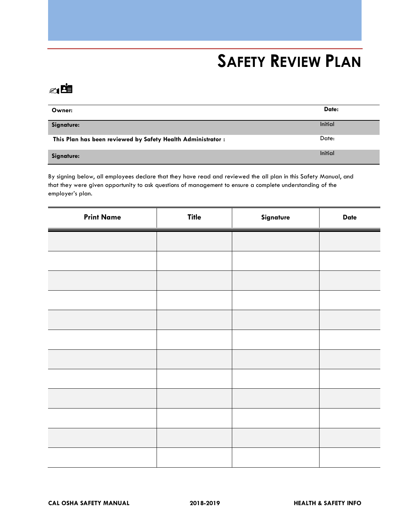# **SAFETY REVIEW PLAN**

## ✍

| Owner:                                                       | Date:          |
|--------------------------------------------------------------|----------------|
| Signature:                                                   | <b>Initial</b> |
| This Plan has been reviewed by Safety Health Administrator : | Date:          |
| Signature:                                                   | <b>Initial</b> |

By signing below, all employees declare that they have read and reviewed the all plan in this Safety Manual, and that they were given opportunity to ask questions of management to ensure a complete understanding of the employer's plan.

| <b>Print Name</b> | <b>Title</b> | Signature | <b>Date</b> |
|-------------------|--------------|-----------|-------------|
|                   |              |           |             |
|                   |              |           |             |
|                   |              |           |             |
|                   |              |           |             |
|                   |              |           |             |
|                   |              |           |             |
|                   |              |           |             |
|                   |              |           |             |
|                   |              |           |             |
|                   |              |           |             |
|                   |              |           |             |
|                   |              |           |             |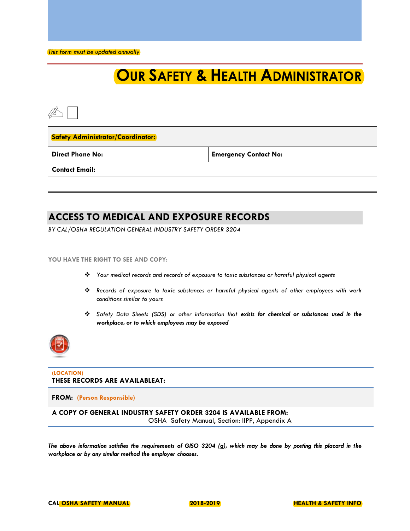*This form must be updated annually*

## **OUR SAFETY & HEALTH ADMINISTRATOR**

### **Safety Administrator/Coordinator:**

**Direct Phone No: Emergency Contact No:**

**Contact Email:**

### **ACCESS TO MEDICAL AND EXPOSURE RECORDS**

*BY CAL/OSHA REGULATION GENERAL INDUSTRY SAFETY ORDER 3204* 

### **YOU HAVE THE RIGHT TO SEE AND COPY:**

- ❖ *Your medical records and records of exposure to toxic substances or harmful physical agents*
- ❖ *Records of exposure to toxic substances or harmful physical agents of other employees with work conditions similar to yours*
- ❖ *Safety Data Sheets (SDS) or other information that exists for chemical or substances used in the workplace, or to which employees may be exposed*



### **(LOCATION) THESE RECORDS ARE AVAILABLEAT:**

### **FROM: (Person Responsible)**

**A COPY OF GENERAL INDUSTRY SAFETY ORDER 3204 IS AVAILABLE FROM:** 

OSHA Safety Manual, Section: IIPP, Appendix A

*The above information satisfies the requirements of GISO 3204 (g), which may be done by posting this placard in the workplace or by any similar method the employer chooses.*